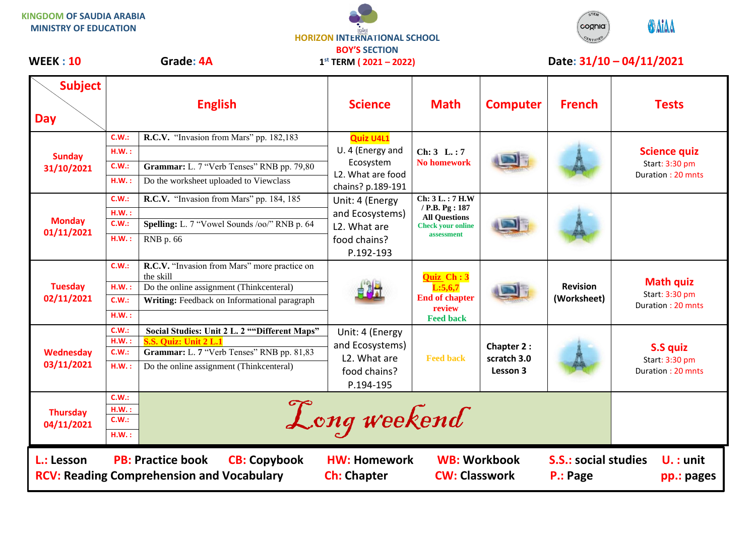## **KINGDOM OF SAUDIA ARABIA MINISTRY OF EDUCATION**





| <b>Subject</b><br><b>Day</b>                                                                                                                                                                                                                                                         |                                                     | <b>English</b>                                                                                                                                                             | <b>Science</b>                                                                                                              | <b>Math</b>                                                                      | <b>Computer</b>                              | <b>French</b>                  | <b>Tests</b>                                               |
|--------------------------------------------------------------------------------------------------------------------------------------------------------------------------------------------------------------------------------------------------------------------------------------|-----------------------------------------------------|----------------------------------------------------------------------------------------------------------------------------------------------------------------------------|-----------------------------------------------------------------------------------------------------------------------------|----------------------------------------------------------------------------------|----------------------------------------------|--------------------------------|------------------------------------------------------------|
| <b>Sunday</b><br>31/10/2021                                                                                                                                                                                                                                                          | C.W.:<br>H.W.:<br>C.W.:<br>H.W.:<br>C.W.:           | R.C.V. "Invasion from Mars" pp. 182,183<br>Grammar: L. 7 "Verb Tenses" RNB pp. 79,80<br>Do the worksheet uploaded to Viewclass<br>R.C.V. "Invasion from Mars" pp. 184, 185 | <b>Quiz U4L1</b><br>U. 4 (Energy and<br>Ecosystem<br>L <sub>2</sub> . What are food<br>chains? p.189-191<br>Unit: 4 (Energy | Chi: 3 L.: 7<br><b>No homework</b><br>Chi: 3 L.: 7 H.W                           |                                              |                                | <b>Science quiz</b><br>Start: 3:30 pm<br>Duration: 20 mnts |
| <b>Monday</b><br>01/11/2021                                                                                                                                                                                                                                                          | H.W.:<br>C.W.:<br>H.W.:                             | Spelling: L. 7 "Vowel Sounds /oo/" RNB p. 64<br>RNB p. 66                                                                                                                  | and Ecosystems)<br>L2. What are<br>food chains?<br>P.192-193                                                                | / P.B. Pg: 187<br><b>All Questions</b><br><b>Check your online</b><br>assessment |                                              |                                |                                                            |
| <b>Tuesday</b><br>02/11/2021                                                                                                                                                                                                                                                         | C.W.:<br>H.W.:<br>C.W.:<br>H.W.:                    | R.C.V. "Invasion from Mars" more practice on<br>the skill<br>Do the online assignment (Thinkcenteral)<br>Writing: Feedback on Informational paragraph                      |                                                                                                                             | Quiz Ch: 3<br>L:5,6,7<br><b>End of chapter</b><br>review<br><b>Feed back</b>     |                                              | <b>Revision</b><br>(Worksheet) | <b>Math quiz</b><br>Start: 3:30 pm<br>Duration: 20 mnts    |
| <b>Wednesday</b><br>03/11/2021                                                                                                                                                                                                                                                       | C.W.<br>HM.:<br>C.W.:<br>HM.:                       | Social Studies: Unit 2 L. 2 ""Different Maps"<br>S.S. Quiz: Unit 2 L.<br>Grammar: L. 7 "Verb Tenses" RNB pp. 81,83<br>Do the online assignment (Thinkcenteral)             | Unit: 4 (Energy<br>and Ecosystems)<br>L2. What are<br>food chains?<br>P.194-195                                             | <b>Feed back</b>                                                                 | <b>Chapter 2:</b><br>scratch 3.0<br>Lesson 3 |                                | S.S quiz<br>Start: 3:30 pm<br>Duration: 20 mnts            |
| <b>Thursday</b><br>04/11/2021                                                                                                                                                                                                                                                        | C.W.:<br>Long weekend<br>$H.W.$ :<br>C.W.:<br>H.W.: |                                                                                                                                                                            |                                                                                                                             |                                                                                  |                                              |                                |                                                            |
| <b>PB: Practice book</b><br><b>WB: Workbook</b><br><b>CB: Copybook</b><br><b>S.S.: social studies</b><br>L.: Lesson<br><b>HW: Homework</b><br>$U.:$ unit<br><b>CW: Classwork</b><br><b>RCV: Reading Comprehension and Vocabulary</b><br><b>Ch: Chapter</b><br>P.: Page<br>pp.: pages |                                                     |                                                                                                                                                                            |                                                                                                                             |                                                                                  |                                              |                                |                                                            |